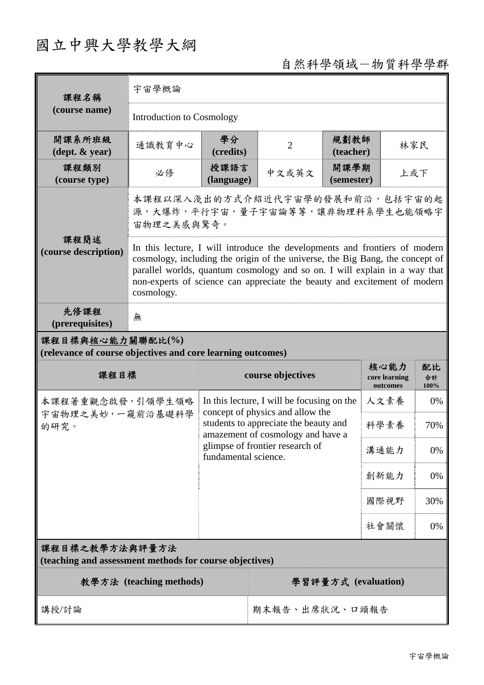## 國立中興大學教學大綱

## 自然科學領域-物質科學學群

| 課程名稱                                                                            | 宇宙學概論                                                                                                                                                                                                                                                                                                                                |                                                                                                                                                                                                                         |                     |                    |                                   |                  |  |
|---------------------------------------------------------------------------------|--------------------------------------------------------------------------------------------------------------------------------------------------------------------------------------------------------------------------------------------------------------------------------------------------------------------------------------|-------------------------------------------------------------------------------------------------------------------------------------------------------------------------------------------------------------------------|---------------------|--------------------|-----------------------------------|------------------|--|
| (course name)                                                                   | <b>Introduction to Cosmology</b>                                                                                                                                                                                                                                                                                                     |                                                                                                                                                                                                                         |                     |                    |                                   |                  |  |
| 開課系所班級<br>$(\text{dept.} \& \text{ year})$                                      | 學分<br>通識教育中心<br>(credits)                                                                                                                                                                                                                                                                                                            |                                                                                                                                                                                                                         | $\overline{2}$      | 規劃教師<br>(teacher)  |                                   | 林家民              |  |
| 課程類別<br>(course type)                                                           | 必修                                                                                                                                                                                                                                                                                                                                   | 授課語言<br>(language)                                                                                                                                                                                                      | 中文或英文               | 開課學期<br>(semester) |                                   | 上或下              |  |
|                                                                                 | 本課程以深入淺出的方式介紹近代宇宙學的發展和前沿,包括宇宙的起<br>源,大爆炸,平行宇宙,量子宇宙論等等,讓非物理科系學生也能領略宇<br>宙物理之美感與驚奇。                                                                                                                                                                                                                                                    |                                                                                                                                                                                                                         |                     |                    |                                   |                  |  |
| 課程簡述<br>(course description)                                                    | In this lecture, I will introduce the developments and frontiers of modern<br>cosmology, including the origin of the universe, the Big Bang, the concept of<br>parallel worlds, quantum cosmology and so on. I will explain in a way that<br>non-experts of science can appreciate the beauty and excitement of modern<br>cosmology. |                                                                                                                                                                                                                         |                     |                    |                                   |                  |  |
| 先修課程<br>(prerequisites)                                                         | 無                                                                                                                                                                                                                                                                                                                                    |                                                                                                                                                                                                                         |                     |                    |                                   |                  |  |
| 課程目標與核心能力關聯配比(%)<br>(relevance of course objectives and core learning outcomes) |                                                                                                                                                                                                                                                                                                                                      |                                                                                                                                                                                                                         |                     |                    |                                   |                  |  |
| 課程目標                                                                            |                                                                                                                                                                                                                                                                                                                                      |                                                                                                                                                                                                                         | course objectives   |                    | 核心能力<br>core learning<br>outcomes | 配比<br>合計<br>100% |  |
| 本課程著重觀念啟發,引領學生領略<br>宇宙物理之美妙,一窺前沿基礎科學<br>的研究。                                    |                                                                                                                                                                                                                                                                                                                                      | In this lecture, I will be focusing on the<br>concept of physics and allow the<br>students to appreciate the beauty and<br>amazement of cosmology and have a<br>glimpse of frontier research of<br>fundamental science. |                     | 人文素養               | 0%                                |                  |  |
|                                                                                 |                                                                                                                                                                                                                                                                                                                                      |                                                                                                                                                                                                                         |                     | 科學素養               | 70%                               |                  |  |
|                                                                                 |                                                                                                                                                                                                                                                                                                                                      |                                                                                                                                                                                                                         |                     | 溝通能力               | 0%                                |                  |  |
|                                                                                 |                                                                                                                                                                                                                                                                                                                                      |                                                                                                                                                                                                                         |                     | 創新能力               | 0%                                |                  |  |
|                                                                                 |                                                                                                                                                                                                                                                                                                                                      |                                                                                                                                                                                                                         |                     |                    | 國際視野                              | 30%              |  |
|                                                                                 |                                                                                                                                                                                                                                                                                                                                      |                                                                                                                                                                                                                         |                     |                    | 社會關懷                              | 0%               |  |
| 課程目標之教學方法與評量方法<br>(teaching and assessment methods for course objectives)       |                                                                                                                                                                                                                                                                                                                                      |                                                                                                                                                                                                                         |                     |                    |                                   |                  |  |
| 教學方法 (teaching methods)                                                         |                                                                                                                                                                                                                                                                                                                                      |                                                                                                                                                                                                                         | 學習評量方式 (evaluation) |                    |                                   |                  |  |
|                                                                                 |                                                                                                                                                                                                                                                                                                                                      |                                                                                                                                                                                                                         |                     |                    |                                   |                  |  |